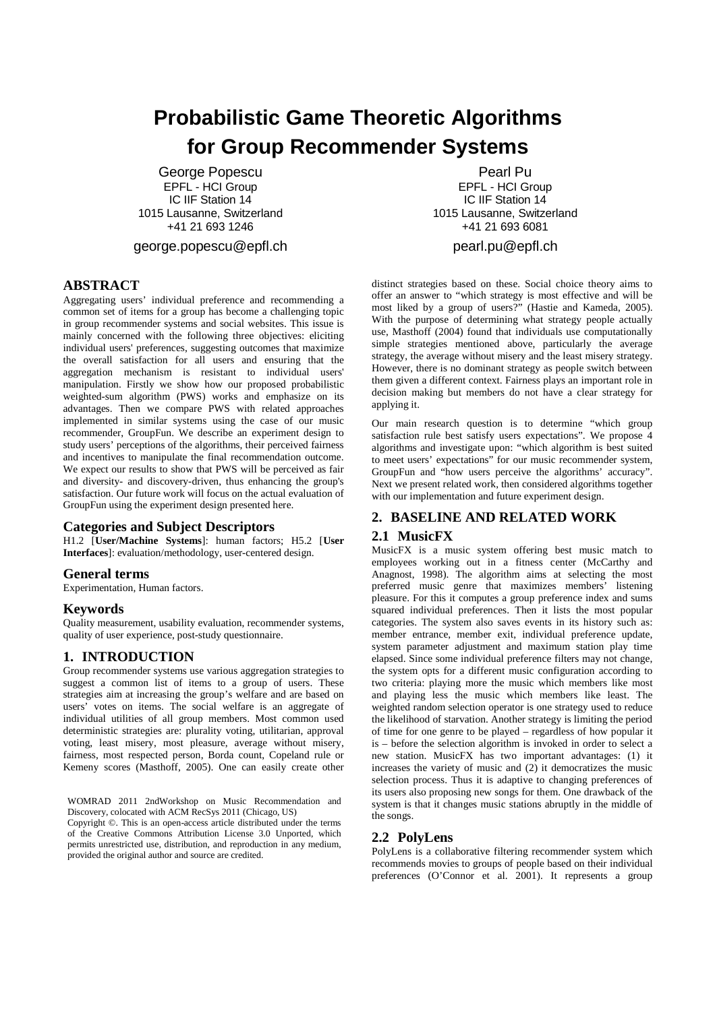# **Probabilistic Game Theoretic Algorithms for Group Recommender Systems**

George Popescu EPFL - HCI Group IC IIF Station 14 1015 Lausanne, Switzerland +41 21 693 1246

george.popescu@epfl.ch

Pearl Pu EPFL - HCI Group IC IIF Station 14 1015 Lausanne, Switzerland +41 21 693 6081 pearl.pu@epfl.ch

# **ABSTRACT**

Aggregating users' individual preference and recommending a common set of items for a group has become a challenging topic in group recommender systems and social websites. This issue is mainly concerned with the following three objectives: eliciting individual users' preferences, suggesting outcomes that maximize the overall satisfaction for all users and ensuring that the aggregation mechanism is resistant to individual users' manipulation. Firstly we show how our proposed probabilistic weighted-sum algorithm (PWS) works and emphasize on its advantages. Then we compare PWS with related approaches implemented in similar systems using the case of our music recommender, GroupFun. We describe an experiment design to study users' perceptions of the algorithms, their perceived fairness and incentives to manipulate the final recommendation outcome. We expect our results to show that PWS will be perceived as fair and diversity- and discovery-driven, thus enhancing the group's satisfaction. Our future work will focus on the actual evaluation of GroupFun using the experiment design presented here.

## **Categories and Subject Descriptors**

H1.2 [**User/Machine Systems**]: human factors; H5.2 [**User Interfaces**]: evaluation/methodology, user-centered design.

### **General terms**

Experimentation, Human factors.

## **Keywords**

Quality measurement, usability evaluation, recommender systems, quality of user experience, post-study questionnaire.

# **1. INTRODUCTION**

Group recommender systems use various aggregation strategies to suggest a common list of items to a group of users. These strategies aim at increasing the group's welfare and are based on users' votes on items. The social welfare is an aggregate of individual utilities of all group members. Most common used deterministic strategies are: plurality voting, utilitarian, approval voting, least misery, most pleasure, average without misery, fairness, most respected person, Borda count, Copeland rule or Kemeny scores (Masthoff, 2005). One can easily create other

WOMRAD 2011 2ndWorkshop on Music Recommendation and Discovery, colocated with ACM RecSys 2011 (Chicago, US)

Copyright ©. This is an open-access article distributed under the terms of the Creative Commons Attribution License 3.0 Unported, which permits unrestricted use, distribution, and reproduction in any medium, provided the original author and source are credited.

distinct strategies based on these. Social choice theory aims to offer an answer to "which strategy is most effective and will be most liked by a group of users?" (Hastie and Kameda, 2005). With the purpose of determining what strategy people actually use, Masthoff (2004) found that individuals use computationally simple strategies mentioned above, particularly the average strategy, the average without misery and the least misery strategy. However, there is no dominant strategy as people switch between them given a different context. Fairness plays an important role in decision making but members do not have a clear strategy for applying it.

Our main research question is to determine "which group satisfaction rule best satisfy users expectations". We propose 4 algorithms and investigate upon: "which algorithm is best suited to meet users' expectations" for our music recommender system, GroupFun and "how users perceive the algorithms' accuracy". Next we present related work, then considered algorithms together with our implementation and future experiment design.

# **2. BASELINE AND RELATED WORK**

## **2.1 MusicFX**

MusicFX is a music system offering best music match to employees working out in a fitness center (McCarthy and Anagnost, 1998). The algorithm aims at selecting the most preferred music genre that maximizes members' listening pleasure. For this it computes a group preference index and sums squared individual preferences. Then it lists the most popular categories. The system also saves events in its history such as: member entrance, member exit, individual preference update, system parameter adjustment and maximum station play time elapsed. Since some individual preference filters may not change, the system opts for a different music configuration according to two criteria: playing more the music which members like most and playing less the music which members like least. The weighted random selection operator is one strategy used to reduce the likelihood of starvation. Another strategy is limiting the period of time for one genre to be played – regardless of how popular it is – before the selection algorithm is invoked in order to select a new station. MusicFX has two important advantages: (1) it increases the variety of music and (2) it democratizes the music selection process. Thus it is adaptive to changing preferences of its users also proposing new songs for them. One drawback of the system is that it changes music stations abruptly in the middle of the songs.

# **2.2 PolyLens**

PolyLens is a collaborative filtering recommender system which recommends movies to groups of people based on their individual preferences (O'Connor et al. 2001). It represents a group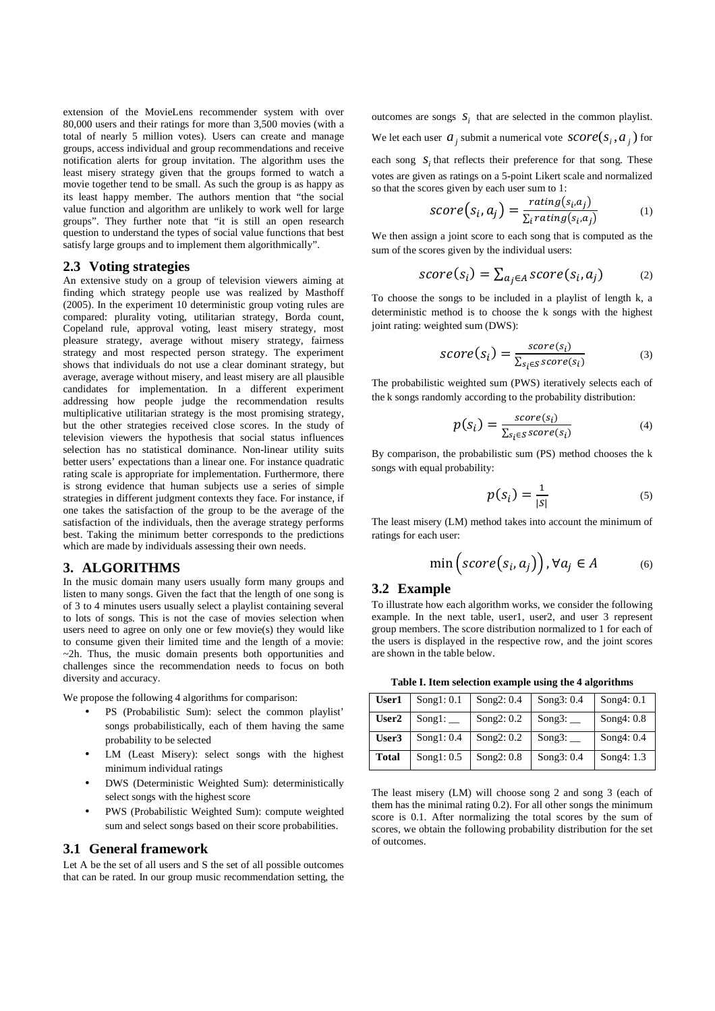extension of the MovieLens recommender system with over 80,000 users and their ratings for more than 3,500 movies (with a total of nearly 5 million votes). Users can create and manage groups, access individual and group recommendations and receive notification alerts for group invitation. The algorithm uses the least misery strategy given that the groups formed to watch a movie together tend to be small. As such the group is as happy as its least happy member. The authors mention that "the social value function and algorithm are unlikely to work well for large groups". They further note that "it is still an open research question to understand the types of social value functions that best satisfy large groups and to implement them algorithmically".

#### **2.3 Voting strategies**

An extensive study on a group of television viewers aiming at finding which strategy people use was realized by Masthoff (2005). In the experiment 10 deterministic group voting rules are compared: plurality voting, utilitarian strategy, Borda count, Copeland rule, approval voting, least misery strategy, most pleasure strategy, average without misery strategy, fairness strategy and most respected person strategy. The experiment shows that individuals do not use a clear dominant strategy, but average, average without misery, and least misery are all plausible candidates for implementation. In a different experiment addressing how people judge the recommendation results multiplicative utilitarian strategy is the most promising strategy, but the other strategies received close scores. In the study of television viewers the hypothesis that social status influences selection has no statistical dominance. Non-linear utility suits better users' expectations than a linear one. For instance quadratic rating scale is appropriate for implementation. Furthermore, there is strong evidence that human subjects use a series of simple strategies in different judgment contexts they face. For instance, if one takes the satisfaction of the group to be the average of the satisfaction of the individuals, then the average strategy performs best. Taking the minimum better corresponds to the predictions which are made by individuals assessing their own needs.

### **3. ALGORITHMS**

In the music domain many users usually form many groups and listen to many songs. Given the fact that the length of one song is of 3 to 4 minutes users usually select a playlist containing several to lots of songs. This is not the case of movies selection when users need to agree on only one or few movie(s) they would like to consume given their limited time and the length of a movie: ~2h. Thus, the music domain presents both opportunities and challenges since the recommendation needs to focus on both diversity and accuracy.

We propose the following 4 algorithms for comparison:

- PS (Probabilistic Sum): select the common playlist' songs probabilistically, each of them having the same probability to be selected
- LM (Least Misery): select songs with the highest minimum individual ratings
- DWS (Deterministic Weighted Sum): deterministically select songs with the highest score
- PWS (Probabilistic Weighted Sum): compute weighted sum and select songs based on their score probabilities.

## **3.1 General framework**

Let A be the set of all users and S the set of all possible outcomes that can be rated. In our group music recommendation setting, the

outcomes are songs  $S_i$  that are selected in the common playlist. We let each user  $a_j$  submit a numerical vote  $score(s_i, a_j)$  for each song  $S_i$  that reflects their preference for that song. These votes are given as ratings on a 5-point Likert scale and normalized so that the scores given by each user sum to 1:

$$
score(s_i, a_j) = \frac{rating(s_i, a_j)}{\sum_i rating(s_i, a_j)}
$$
(1)

We then assign a joint score to each song that is computed as the sum of the scores given by the individual users:

$$
score(s_i) = \sum_{a_j \in A} score(s_i, a_j)
$$
 (2)

To choose the songs to be included in a playlist of length k, a deterministic method is to choose the k songs with the highest joint rating: weighted sum (DWS):

$$
score(s_i) = \frac{score(s_i)}{\sum_{s_i \in S} score(s_i)}
$$
(3)

The probabilistic weighted sum (PWS) iteratively selects each of the k songs randomly according to the probability distribution:

$$
p(s_i) = \frac{\text{score}(s_i)}{\sum_{s_i \in S} \text{score}(s_i)}\tag{4}
$$

By comparison, the probabilistic sum (PS) method chooses the k songs with equal probability:

$$
p(s_i) = \frac{1}{|s|} \tag{5}
$$

The least misery (LM) method takes into account the minimum of ratings for each user:

$$
\min\left(score\big(s_i,a_j\big)\right), \forall a_j \in A \tag{6}
$$

## **3.2 Example**

To illustrate how each algorithm works, we consider the following example. In the next table, user1, user2, and user 3 represent group members. The score distribution normalized to 1 for each of the users is displayed in the respective row, and the joint scores are shown in the table below.

**Table I. Item selection example using the 4 algorithms** 

| User1             | Song1: 0.1    | Song2: 0.4   | Song $3:0.4$     | Song $4:0.1$ |
|-------------------|---------------|--------------|------------------|--------------|
| User <sub>2</sub> | Song1: $\_\_$ | Song $2:0.2$ | Song $3:$ $\Box$ | Song $4:0.8$ |
| User3             | Song1: $0.4$  | Song2: 0.2   | Song $3:$ $\Box$ | Song4: 0.4   |
| <b>Total</b>      | Song1: 0.5    | Song2: 0.8   | Song $3:0.4$     | Song4: 1.3   |

The least misery (LM) will choose song 2 and song 3 (each of them has the minimal rating 0.2). For all other songs the minimum score is 0.1. After normalizing the total scores by the sum of scores, we obtain the following probability distribution for the set of outcomes.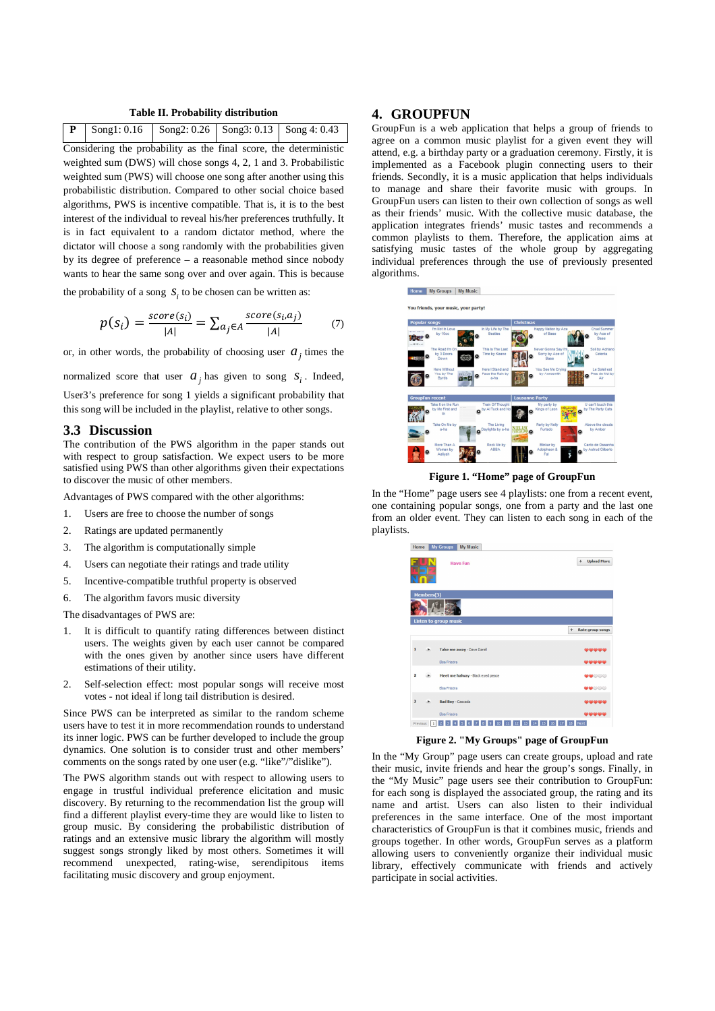#### **Table II. Probability distribution**

|                                                                         | Song1: $0.16$                                                       | Song $2:0.26$ | Song $3:0.13$ | Song 4: 0.43 |  |  |
|-------------------------------------------------------------------------|---------------------------------------------------------------------|---------------|---------------|--------------|--|--|
|                                                                         | Considering the probability as the final score, the deterministic   |               |               |              |  |  |
|                                                                         | weighted sum (DWS) will chose songs 4, 2, 1 and 3. Probabilistic    |               |               |              |  |  |
|                                                                         | weighted sum (PWS) will choose one song after another using this    |               |               |              |  |  |
|                                                                         | probabilistic distribution. Compared to other social choice based   |               |               |              |  |  |
|                                                                         | algorithms, PWS is incentive compatible. That is, it is to the best |               |               |              |  |  |
| interest of the individual to reveal his/her preferences truthfully. It |                                                                     |               |               |              |  |  |
|                                                                         | is in fact equivalent to a random dictator method, where the        |               |               |              |  |  |
|                                                                         | dictator will choose a song randomly with the probabilities given   |               |               |              |  |  |
|                                                                         | by its degree of preference – a reasonable method since nobody      |               |               |              |  |  |

the probability of a song  $S_i$  to be chosen can be written as:

$$
p(s_i) = \frac{score(s_i)}{|A|} = \sum_{a_j \in A} \frac{score(s_i, a_j)}{|A|} \tag{7}
$$

or, in other words, the probability of choosing user  $a_j$  times the

wants to hear the same song over and over again. This is because

normalized score that user  $a_j$  has given to song  $s_i$ . Indeed,

User3's preference for song 1 yields a significant probability that this song will be included in the playlist, relative to other songs.

#### **3.3 Discussion**

The contribution of the PWS algorithm in the paper stands out with respect to group satisfaction. We expect users to be more satisfied using PWS than other algorithms given their expectations to discover the music of other members.

Advantages of PWS compared with the other algorithms:

- 1. Users are free to choose the number of songs
- 2. Ratings are updated permanently
- 3. The algorithm is computationally simple
- 4. Users can negotiate their ratings and trade utility
- 5. Incentive-compatible truthful property is observed
- 6. The algorithm favors music diversity

The disadvantages of PWS are:

- 1. It is difficult to quantify rating differences between distinct users. The weights given by each user cannot be compared with the ones given by another since users have different estimations of their utility.
- 2. Self-selection effect: most popular songs will receive most votes - not ideal if long tail distribution is desired.

Since PWS can be interpreted as similar to the random scheme users have to test it in more recommendation rounds to understand its inner logic. PWS can be further developed to include the group dynamics. One solution is to consider trust and other members' comments on the songs rated by one user (e.g. "like"/"dislike").

The PWS algorithm stands out with respect to allowing users to engage in trustful individual preference elicitation and music discovery. By returning to the recommendation list the group will find a different playlist every-time they are would like to listen to group music. By considering the probabilistic distribution of ratings and an extensive music library the algorithm will mostly suggest songs strongly liked by most others. Sometimes it will recommend unexpected, rating-wise, serendipitous items facilitating music discovery and group enjoyment.

### **4. GROUPFUN**

GroupFun is a web application that helps a group of friends to agree on a common music playlist for a given event they will attend, e.g. a birthday party or a graduation ceremony. Firstly, it is implemented as a Facebook plugin connecting users to their friends. Secondly, it is a music application that helps individuals to manage and share their favorite music with groups. In GroupFun users can listen to their own collection of songs as well as their friends' music. With the collective music database, the application integrates friends' music tastes and recommends a common playlists to them. Therefore, the application aims at satisfying music tastes of the whole group by aggregating individual preferences through the use of previously presented algorithms.



**Figure 1. "Home" page of GroupFun** 

In the "Home" page users see 4 playlists: one from a recent event, one containing popular songs, one from a party and the last one from an older event. They can listen to each song in each of the playlists.



**Figure 2. "My Groups" page of GroupFun** 

In the "My Group" page users can create groups, upload and rate their music, invite friends and hear the group's songs. Finally, in the "My Music" page users see their contribution to GroupFun: for each song is displayed the associated group, the rating and its name and artist. Users can also listen to their individual preferences in the same interface. One of the most important characteristics of GroupFun is that it combines music, friends and groups together. In other words, GroupFun serves as a platform allowing users to conveniently organize their individual music library, effectively communicate with friends and actively participate in social activities.